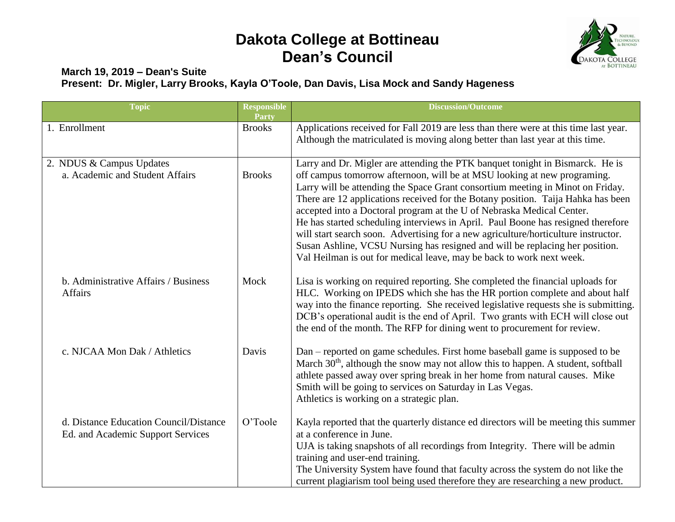## **Dakota College at Bottineau Dean's Council**



## **March 19, 2019 – Dean's Suite Present: Dr. Migler, Larry Brooks, Kayla O'Toole, Dan Davis, Lisa Mock and Sandy Hageness**

| <b>Topic</b>                                                                | <b>Responsible</b><br>Party | <b>Discussion/Outcome</b>                                                                                                                                                                                                                                                                                                                                                                                                                                                                                                                                                                                                                                                                                                                  |
|-----------------------------------------------------------------------------|-----------------------------|--------------------------------------------------------------------------------------------------------------------------------------------------------------------------------------------------------------------------------------------------------------------------------------------------------------------------------------------------------------------------------------------------------------------------------------------------------------------------------------------------------------------------------------------------------------------------------------------------------------------------------------------------------------------------------------------------------------------------------------------|
| 1. Enrollment                                                               | <b>Brooks</b>               | Applications received for Fall 2019 are less than there were at this time last year.<br>Although the matriculated is moving along better than last year at this time.                                                                                                                                                                                                                                                                                                                                                                                                                                                                                                                                                                      |
| 2. NDUS & Campus Updates<br>a. Academic and Student Affairs                 | <b>Brooks</b>               | Larry and Dr. Migler are attending the PTK banquet tonight in Bismarck. He is<br>off campus tomorrow afternoon, will be at MSU looking at new programing.<br>Larry will be attending the Space Grant consortium meeting in Minot on Friday.<br>There are 12 applications received for the Botany position. Taija Hahka has been<br>accepted into a Doctoral program at the U of Nebraska Medical Center.<br>He has started scheduling interviews in April. Paul Boone has resigned therefore<br>will start search soon. Advertising for a new agriculture/horticulture instructor.<br>Susan Ashline, VCSU Nursing has resigned and will be replacing her position.<br>Val Heilman is out for medical leave, may be back to work next week. |
| b. Administrative Affairs / Business<br>Affairs                             | Mock                        | Lisa is working on required reporting. She completed the financial uploads for<br>HLC. Working on IPEDS which she has the HR portion complete and about half<br>way into the finance reporting. She received legislative requests she is submitting.<br>DCB's operational audit is the end of April. Two grants with ECH will close out<br>the end of the month. The RFP for dining went to procurement for review.                                                                                                                                                                                                                                                                                                                        |
| c. NJCAA Mon Dak / Athletics                                                | Davis                       | Dan – reported on game schedules. First home baseball game is supposed to be<br>March 30 <sup>th</sup> , although the snow may not allow this to happen. A student, softball<br>athlete passed away over spring break in her home from natural causes. Mike<br>Smith will be going to services on Saturday in Las Vegas.<br>Athletics is working on a strategic plan.                                                                                                                                                                                                                                                                                                                                                                      |
| d. Distance Education Council/Distance<br>Ed. and Academic Support Services | O'Toole                     | Kayla reported that the quarterly distance ed directors will be meeting this summer<br>at a conference in June.<br>UJA is taking snapshots of all recordings from Integrity. There will be admin<br>training and user-end training.<br>The University System have found that faculty across the system do not like the<br>current plagiarism tool being used therefore they are researching a new product.                                                                                                                                                                                                                                                                                                                                 |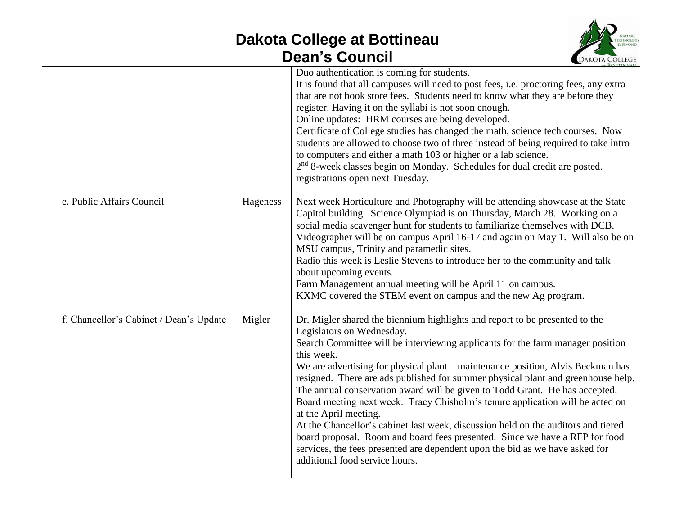## **Dakota College at Bottineau Dean's Council**



|                                         |          | Duo authentication is coming for students.<br>It is found that all campuses will need to post fees, i.e. proctoring fees, any extra<br>that are not book store fees. Students need to know what they are before they<br>register. Having it on the syllabi is not soon enough.<br>Online updates: HRM courses are being developed.<br>Certificate of College studies has changed the math, science tech courses. Now<br>students are allowed to choose two of three instead of being required to take intro<br>to computers and either a math 103 or higher or a lab science.<br>2 <sup>nd</sup> 8-week classes begin on Monday. Schedules for dual credit are posted.<br>registrations open next Tuesday.                                                                                                                                                     |
|-----------------------------------------|----------|----------------------------------------------------------------------------------------------------------------------------------------------------------------------------------------------------------------------------------------------------------------------------------------------------------------------------------------------------------------------------------------------------------------------------------------------------------------------------------------------------------------------------------------------------------------------------------------------------------------------------------------------------------------------------------------------------------------------------------------------------------------------------------------------------------------------------------------------------------------|
| e. Public Affairs Council               | Hageness | Next week Horticulture and Photography will be attending showcase at the State<br>Capitol building. Science Olympiad is on Thursday, March 28. Working on a<br>social media scavenger hunt for students to familiarize themselves with DCB.<br>Videographer will be on campus April 16-17 and again on May 1. Will also be on<br>MSU campus, Trinity and paramedic sites.<br>Radio this week is Leslie Stevens to introduce her to the community and talk<br>about upcoming events.<br>Farm Management annual meeting will be April 11 on campus.<br>KXMC covered the STEM event on campus and the new Ag program.                                                                                                                                                                                                                                             |
| f. Chancellor's Cabinet / Dean's Update | Migler   | Dr. Migler shared the biennium highlights and report to be presented to the<br>Legislators on Wednesday.<br>Search Committee will be interviewing applicants for the farm manager position<br>this week.<br>We are advertising for physical plant – maintenance position, Alvis Beckman has<br>resigned. There are ads published for summer physical plant and greenhouse help.<br>The annual conservation award will be given to Todd Grant. He has accepted.<br>Board meeting next week. Tracy Chisholm's tenure application will be acted on<br>at the April meeting.<br>At the Chancellor's cabinet last week, discussion held on the auditors and tiered<br>board proposal. Room and board fees presented. Since we have a RFP for food<br>services, the fees presented are dependent upon the bid as we have asked for<br>additional food service hours. |